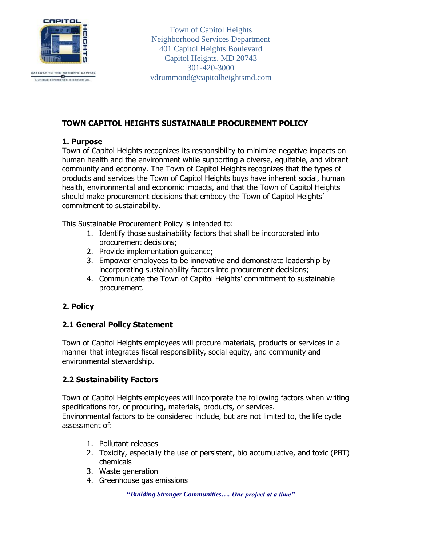

GATEWAY TO THE NATION'S CAPIT<br>A UNIQUE EXPERIENCE, DISCOVER UB.

Town of Capitol Heights Neighborhood Services Department 401 Capitol Heights Boulevard Capitol Heights, MD 20743 301-420-3000 vdrummond@capitolheightsmd.com

### **TOWN CAPITOL HEIGHTS SUSTAINABLE PROCUREMENT POLICY**

### **1. Purpose**

Town of Capitol Heights recognizes its responsibility to minimize negative impacts on human health and the environment while supporting a diverse, equitable, and vibrant community and economy. The Town of Capitol Heights recognizes that the types of products and services the Town of Capitol Heights buys have inherent social, human health, environmental and economic impacts, and that the Town of Capitol Heights should make procurement decisions that embody the Town of Capitol Heights' commitment to sustainability.

This Sustainable Procurement Policy is intended to:

- 1. Identify those sustainability factors that shall be incorporated into procurement decisions;
- 2. Provide implementation guidance;
- 3. Empower employees to be innovative and demonstrate leadership by incorporating sustainability factors into procurement decisions;
- 4. Communicate the Town of Capitol Heights' commitment to sustainable procurement.

### **2. Policy**

### **2.1 General Policy Statement**

Town of Capitol Heights employees will procure materials, products or services in a manner that integrates fiscal responsibility, social equity, and community and environmental stewardship.

### **2.2 Sustainability Factors**

Town of Capitol Heights employees will incorporate the following factors when writing specifications for, or procuring, materials, products, or services. Environmental factors to be considered include, but are not limited to, the life cycle assessment of:

- 1. Pollutant releases
- 2. Toxicity, especially the use of persistent, bio accumulative, and toxic (PBT) chemicals
- 3. Waste generation
- 4. Greenhouse gas emissions

**"***Building Stronger Communities…. One project at a time"*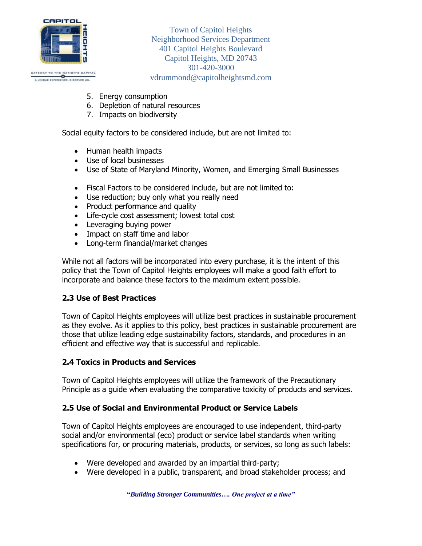

GATEWAY TO THE NATION'S CAPIT<br>A UNIQUE EXPERIENCE, DISCOVER US. ATION'S CAPITAL

Town of Capitol Heights Neighborhood Services Department 401 Capitol Heights Boulevard Capitol Heights, MD 20743 301-420-3000 vdrummond@capitolheightsmd.com

- 5. Energy consumption
- 6. Depletion of natural resources
- 7. Impacts on biodiversity

Social equity factors to be considered include, but are not limited to:

- Human health impacts
- Use of local businesses
- Use of State of Maryland Minority, Women, and Emerging Small Businesses
- Fiscal Factors to be considered include, but are not limited to:
- Use reduction; buy only what you really need
- Product performance and quality
- Life-cycle cost assessment; lowest total cost
- Leveraging buying power
- Impact on staff time and labor
- Long-term financial/market changes

While not all factors will be incorporated into every purchase, it is the intent of this policy that the Town of Capitol Heights employees will make a good faith effort to incorporate and balance these factors to the maximum extent possible.

# **2.3 Use of Best Practices**

Town of Capitol Heights employees will utilize best practices in sustainable procurement as they evolve. As it applies to this policy, best practices in sustainable procurement are those that utilize leading edge sustainability factors, standards, and procedures in an efficient and effective way that is successful and replicable.

# **2.4 Toxics in Products and Services**

Town of Capitol Heights employees will utilize the framework of the Precautionary Principle as a guide when evaluating the comparative toxicity of products and services.

### **2.5 Use of Social and Environmental Product or Service Labels**

Town of Capitol Heights employees are encouraged to use independent, third-party social and/or environmental (eco) product or service label standards when writing specifications for, or procuring materials, products, or services, so long as such labels:

- Were developed and awarded by an impartial third-party;
- Were developed in a public, transparent, and broad stakeholder process; and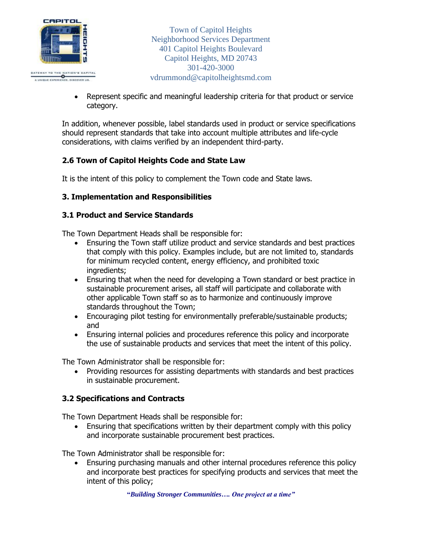

• Represent specific and meaningful leadership criteria for that product or service category.

In addition, whenever possible, label standards used in product or service specifications should represent standards that take into account multiple attributes and life-cycle considerations, with claims verified by an independent third-party.

# **2.6 Town of Capitol Heights Code and State Law**

It is the intent of this policy to complement the Town code and State laws.

# **3. Implementation and Responsibilities**

### **3.1 Product and Service Standards**

The Town Department Heads shall be responsible for:

- Ensuring the Town staff utilize product and service standards and best practices that comply with this policy. Examples include, but are not limited to, standards for minimum recycled content, energy efficiency, and prohibited toxic ingredients;
- Ensuring that when the need for developing a Town standard or best practice in sustainable procurement arises, all staff will participate and collaborate with other applicable Town staff so as to harmonize and continuously improve standards throughout the Town;
- Encouraging pilot testing for environmentally preferable/sustainable products; and
- Ensuring internal policies and procedures reference this policy and incorporate the use of sustainable products and services that meet the intent of this policy.

The Town Administrator shall be responsible for:

• Providing resources for assisting departments with standards and best practices in sustainable procurement.

### **3.2 Specifications and Contracts**

The Town Department Heads shall be responsible for:

• Ensuring that specifications written by their department comply with this policy and incorporate sustainable procurement best practices.

The Town Administrator shall be responsible for:

• Ensuring purchasing manuals and other internal procedures reference this policy and incorporate best practices for specifying products and services that meet the intent of this policy;

**"***Building Stronger Communities…. One project at a time"*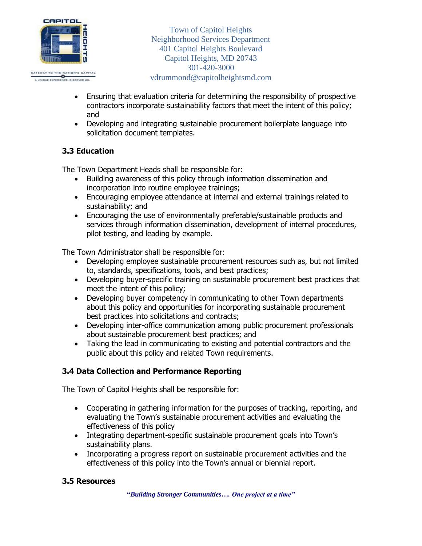

- Ensuring that evaluation criteria for determining the responsibility of prospective contractors incorporate sustainability factors that meet the intent of this policy; and
- Developing and integrating sustainable procurement boilerplate language into solicitation document templates.

# **3.3 Education**

The Town Department Heads shall be responsible for:

- Building awareness of this policy through information dissemination and incorporation into routine employee trainings;
- Encouraging employee attendance at internal and external trainings related to sustainability; and
- Encouraging the use of environmentally preferable/sustainable products and services through information dissemination, development of internal procedures, pilot testing, and leading by example.

The Town Administrator shall be responsible for:

- Developing employee sustainable procurement resources such as, but not limited to, standards, specifications, tools, and best practices;
- Developing buyer-specific training on sustainable procurement best practices that meet the intent of this policy;
- Developing buyer competency in communicating to other Town departments about this policy and opportunities for incorporating sustainable procurement best practices into solicitations and contracts;
- Developing inter-office communication among public procurement professionals about sustainable procurement best practices; and
- Taking the lead in communicating to existing and potential contractors and the public about this policy and related Town requirements.

# **3.4 Data Collection and Performance Reporting**

The Town of Capitol Heights shall be responsible for:

- Cooperating in gathering information for the purposes of tracking, reporting, and evaluating the Town's sustainable procurement activities and evaluating the effectiveness of this policy
- Integrating department-specific sustainable procurement goals into Town's sustainability plans.
- Incorporating a progress report on sustainable procurement activities and the effectiveness of this policy into the Town's annual or biennial report.

### **3.5 Resources**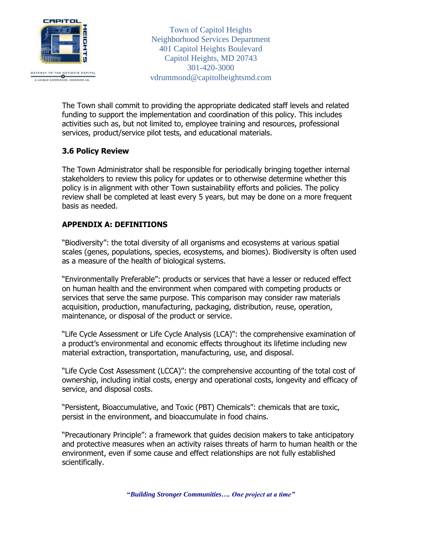

The Town shall commit to providing the appropriate dedicated staff levels and related funding to support the implementation and coordination of this policy. This includes activities such as, but not limited to, employee training and resources, professional services, product/service pilot tests, and educational materials.

### **3.6 Policy Review**

The Town Administrator shall be responsible for periodically bringing together internal stakeholders to review this policy for updates or to otherwise determine whether this policy is in alignment with other Town sustainability efforts and policies. The policy review shall be completed at least every 5 years, but may be done on a more frequent basis as needed.

### **APPENDIX A: DEFINITIONS**

"Biodiversity": the total diversity of all organisms and ecosystems at various spatial scales (genes, populations, species, ecosystems, and biomes). Biodiversity is often used as a measure of the health of biological systems.

"Environmentally Preferable": products or services that have a lesser or reduced effect on human health and the environment when compared with competing products or services that serve the same purpose. This comparison may consider raw materials acquisition, production, manufacturing, packaging, distribution, reuse, operation, maintenance, or disposal of the product or service.

"Life Cycle Assessment or Life Cycle Analysis (LCA)": the comprehensive examination of a product's environmental and economic effects throughout its lifetime including new material extraction, transportation, manufacturing, use, and disposal.

"Life Cycle Cost Assessment (LCCA)": the comprehensive accounting of the total cost of ownership, including initial costs, energy and operational costs, longevity and efficacy of service, and disposal costs.

"Persistent, Bioaccumulative, and Toxic (PBT) Chemicals": chemicals that are toxic, persist in the environment, and bioaccumulate in food chains.

"Precautionary Principle": a framework that guides decision makers to take anticipatory and protective measures when an activity raises threats of harm to human health or the environment, even if some cause and effect relationships are not fully established scientifically.